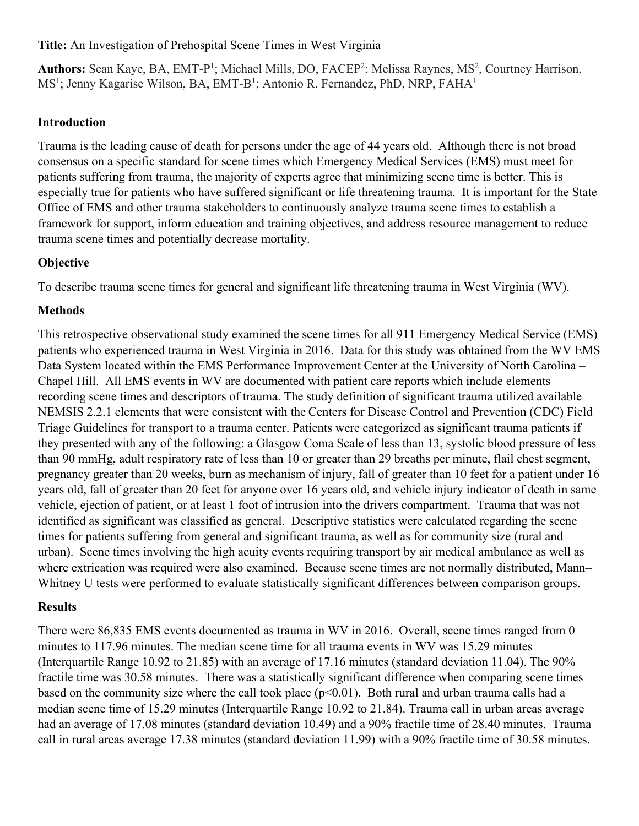#### **Title:** An Investigation of Prehospital Scene Times in West Virginia

Authors: Sean Kaye, BA, EMT-P<sup>1</sup>; Michael Mills, DO, FACEP<sup>2</sup>; Melissa Raynes, MS<sup>2</sup>, Courtney Harrison, MS<sup>1</sup>; Jenny Kagarise Wilson, BA, EMT-B<sup>1</sup>; Antonio R. Fernandez, PhD, NRP, FAHA<sup>1</sup>

### **Introduction**

Trauma is the leading cause of death for persons under the age of 44 years old. Although there is not broad consensus on a specific standard for scene times which Emergency Medical Services (EMS) must meet for patients suffering from trauma, the majority of experts agree that minimizing scene time is better. This is especially true for patients who have suffered significant or life threatening trauma. It is important for the State Office of EMS and other trauma stakeholders to continuously analyze trauma scene times to establish a framework for support, inform education and training objectives, and address resource management to reduce trauma scene times and potentially decrease mortality.

# **Objective**

To describe trauma scene times for general and significant life threatening trauma in West Virginia (WV).

# **Methods**

This retrospective observational study examined the scene times for all 911 Emergency Medical Service (EMS) patients who experienced trauma in West Virginia in 2016. Data for this study was obtained from the WV EMS Data System located within the EMS Performance Improvement Center at the University of North Carolina – Chapel Hill. All EMS events in WV are documented with patient care reports which include elements recording scene times and descriptors of trauma. The study definition of significant trauma utilized available NEMSIS 2.2.1 elements that were consistent with the Centers for Disease Control and Prevention (CDC) Field Triage Guidelines for transport to a trauma center. Patients were categorized as significant trauma patients if they presented with any of the following: a Glasgow Coma Scale of less than 13, systolic blood pressure of less than 90 mmHg, adult respiratory rate of less than 10 or greater than 29 breaths per minute, flail chest segment, pregnancy greater than 20 weeks, burn as mechanism of injury, fall of greater than 10 feet for a patient under 16 years old, fall of greater than 20 feet for anyone over 16 years old, and vehicle injury indicator of death in same vehicle, ejection of patient, or at least 1 foot of intrusion into the drivers compartment. Trauma that was not identified as significant was classified as general. Descriptive statistics were calculated regarding the scene times for patients suffering from general and significant trauma, as well as for community size (rural and urban). Scene times involving the high acuity events requiring transport by air medical ambulance as well as where extrication was required were also examined. Because scene times are not normally distributed, Mann– Whitney U tests were performed to evaluate statistically significant differences between comparison groups.

### **Results**

There were 86,835 EMS events documented as trauma in WV in 2016. Overall, scene times ranged from 0 minutes to 117.96 minutes. The median scene time for all trauma events in WV was 15.29 minutes (Interquartile Range 10.92 to 21.85) with an average of 17.16 minutes (standard deviation 11.04). The 90% fractile time was 30.58 minutes. There was a statistically significant difference when comparing scene times based on the community size where the call took place (p<0.01). Both rural and urban trauma calls had a median scene time of 15.29 minutes (Interquartile Range 10.92 to 21.84). Trauma call in urban areas average had an average of 17.08 minutes (standard deviation 10.49) and a 90% fractile time of 28.40 minutes. Trauma call in rural areas average 17.38 minutes (standard deviation 11.99) with a 90% fractile time of 30.58 minutes.